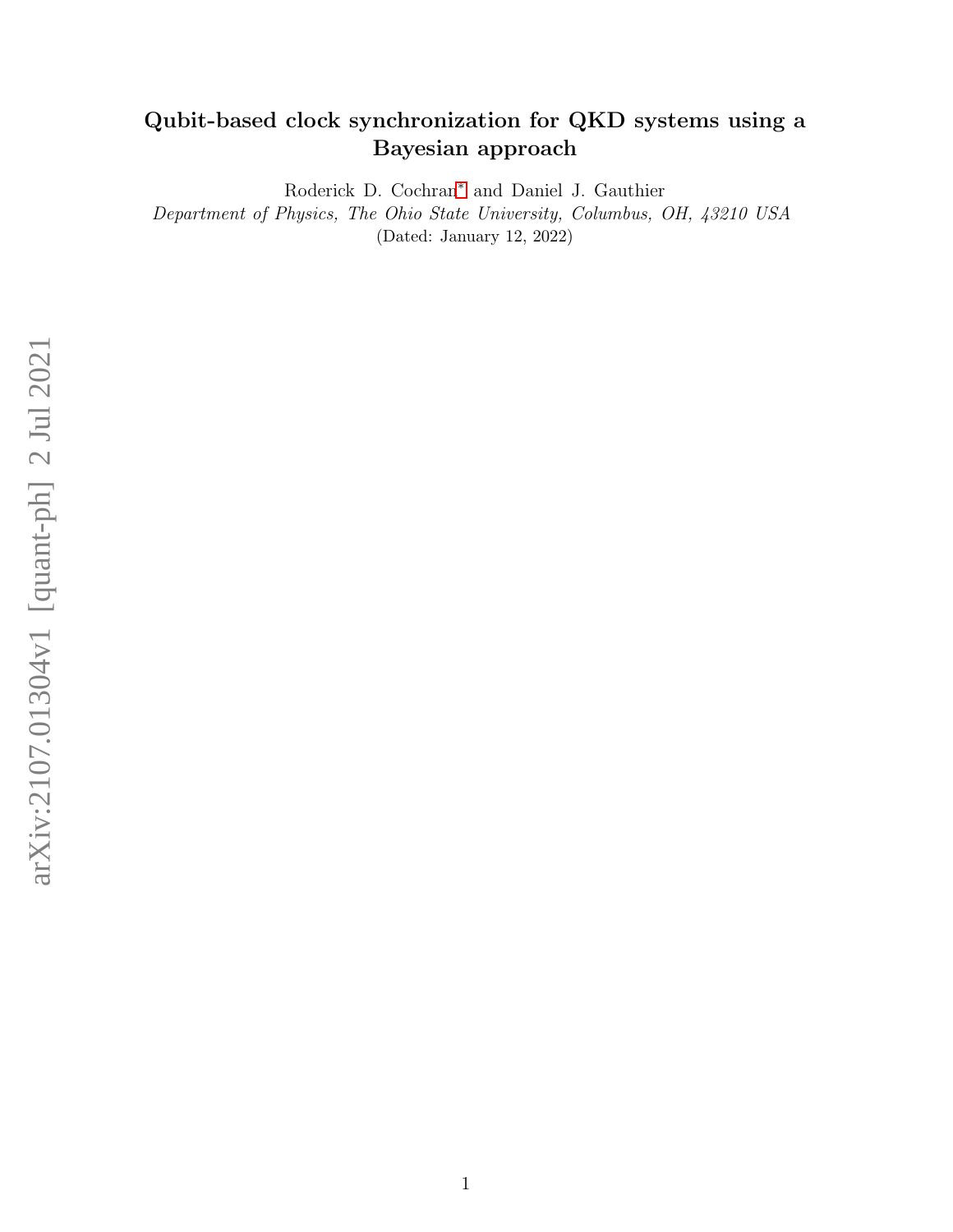# Qubit-based clock synchronization for QKD systems using a Bayesian approach

Roderick D. Cochran[∗](#page-1-0) and Daniel J. Gauthier

Department of Physics, The Ohio State University, Columbus, OH, 43210 USA (Dated: January 12, 2022)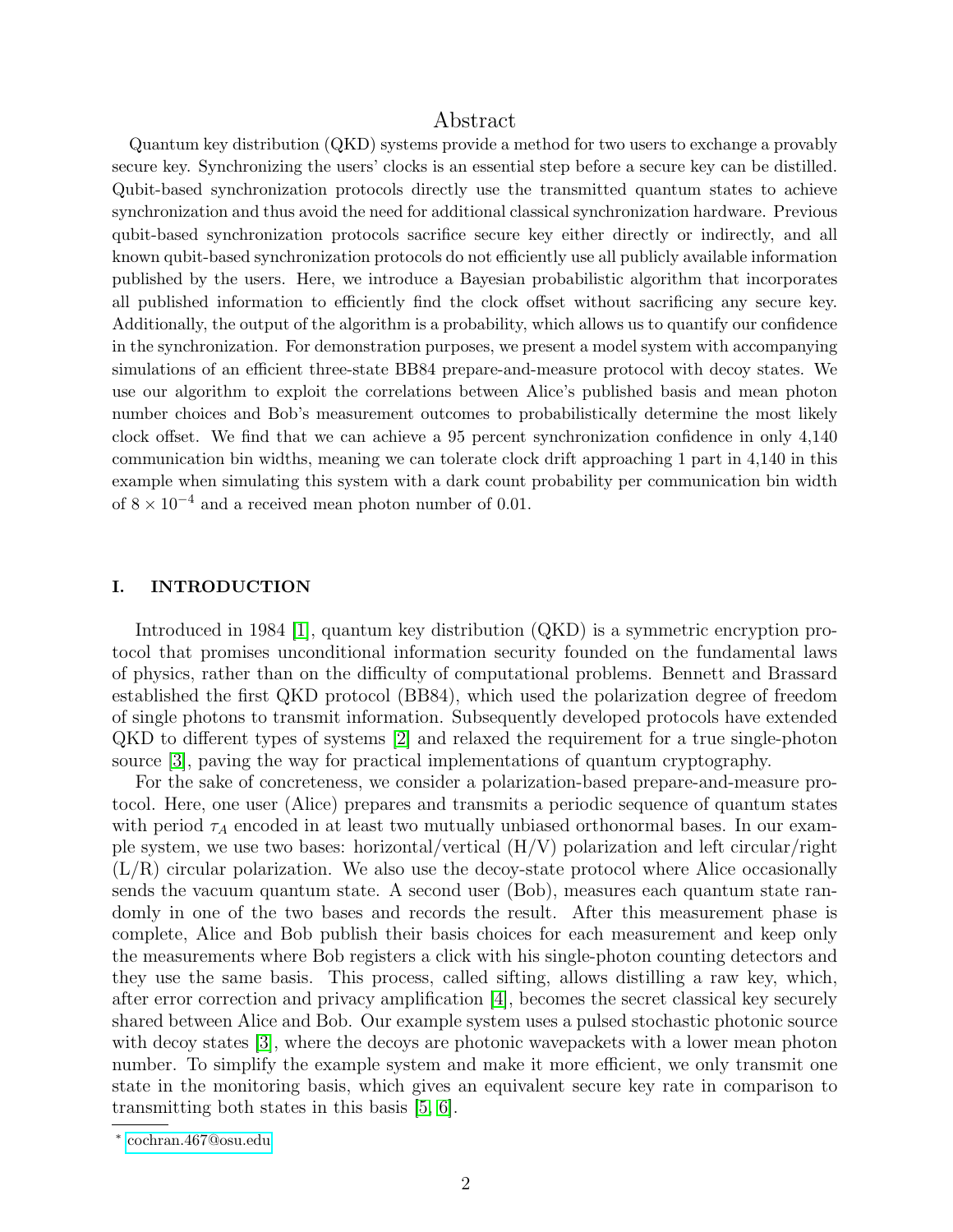# Abstract

Quantum key distribution (QKD) systems provide a method for two users to exchange a provably secure key. Synchronizing the users' clocks is an essential step before a secure key can be distilled. Qubit-based synchronization protocols directly use the transmitted quantum states to achieve synchronization and thus avoid the need for additional classical synchronization hardware. Previous qubit-based synchronization protocols sacrifice secure key either directly or indirectly, and all known qubit-based synchronization protocols do not efficiently use all publicly available information published by the users. Here, we introduce a Bayesian probabilistic algorithm that incorporates all published information to efficiently find the clock offset without sacrificing any secure key. Additionally, the output of the algorithm is a probability, which allows us to quantify our confidence in the synchronization. For demonstration purposes, we present a model system with accompanying simulations of an efficient three-state BB84 prepare-and-measure protocol with decoy states. We use our algorithm to exploit the correlations between Alice's published basis and mean photon number choices and Bob's measurement outcomes to probabilistically determine the most likely clock offset. We find that we can achieve a 95 percent synchronization confidence in only 4,140 communication bin widths, meaning we can tolerate clock drift approaching 1 part in 4,140 in this example when simulating this system with a dark count probability per communication bin width of  $8 \times 10^{-4}$  and a received mean photon number of 0.01.

### I. INTRODUCTION

Introduced in 1984 [\[1\]](#page-12-0), quantum key distribution (QKD) is a symmetric encryption protocol that promises unconditional information security founded on the fundamental laws of physics, rather than on the difficulty of computational problems. Bennett and Brassard established the first QKD protocol (BB84), which used the polarization degree of freedom of single photons to transmit information. Subsequently developed protocols have extended QKD to different types of systems [\[2\]](#page-12-1) and relaxed the requirement for a true single-photon source [\[3\]](#page-12-2), paving the way for practical implementations of quantum cryptography.

For the sake of concreteness, we consider a polarization-based prepare-and-measure protocol. Here, one user (Alice) prepares and transmits a periodic sequence of quantum states with period  $\tau_A$  encoded in at least two mutually unbiased orthonormal bases. In our example system, we use two bases: horizontal/vertical (H/V) polarization and left circular/right  $(L/R)$  circular polarization. We also use the decoy-state protocol where Alice occasionally sends the vacuum quantum state. A second user (Bob), measures each quantum state randomly in one of the two bases and records the result. After this measurement phase is complete, Alice and Bob publish their basis choices for each measurement and keep only the measurements where Bob registers a click with his single-photon counting detectors and they use the same basis. This process, called sifting, allows distilling a raw key, which, after error correction and privacy amplification [\[4\]](#page-12-3), becomes the secret classical key securely shared between Alice and Bob. Our example system uses a pulsed stochastic photonic source with decoy states [\[3\]](#page-12-2), where the decoys are photonic wavepackets with a lower mean photon number. To simplify the example system and make it more efficient, we only transmit one state in the monitoring basis, which gives an equivalent secure key rate in comparison to transmitting both states in this basis [\[5,](#page-12-4) [6\]](#page-12-5).

<span id="page-1-0"></span><sup>∗</sup> [cochran.467@osu.edu](mailto:cochran.467@osu.edu)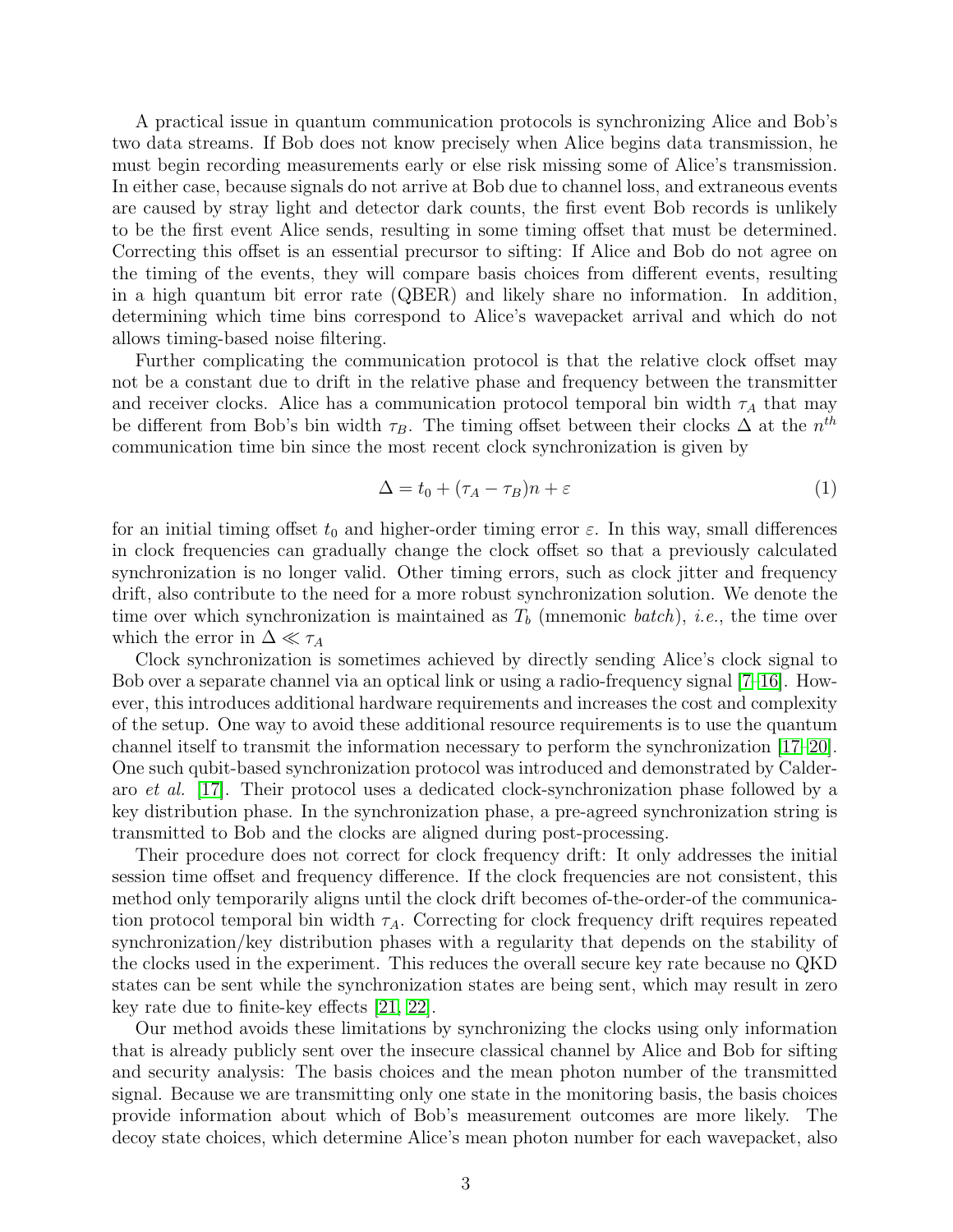A practical issue in quantum communication protocols is synchronizing Alice and Bob's two data streams. If Bob does not know precisely when Alice begins data transmission, he must begin recording measurements early or else risk missing some of Alice's transmission. In either case, because signals do not arrive at Bob due to channel loss, and extraneous events are caused by stray light and detector dark counts, the first event Bob records is unlikely to be the first event Alice sends, resulting in some timing offset that must be determined. Correcting this offset is an essential precursor to sifting: If Alice and Bob do not agree on the timing of the events, they will compare basis choices from different events, resulting in a high quantum bit error rate (QBER) and likely share no information. In addition, determining which time bins correspond to Alice's wavepacket arrival and which do not allows timing-based noise filtering.

Further complicating the communication protocol is that the relative clock offset may not be a constant due to drift in the relative phase and frequency between the transmitter and receiver clocks. Alice has a communication protocol temporal bin width  $\tau_A$  that may be different from Bob's bin width  $\tau_B$ . The timing offset between their clocks  $\Delta$  at the  $n^{th}$ communication time bin since the most recent clock synchronization is given by

$$
\Delta = t_0 + (\tau_A - \tau_B)n + \varepsilon \tag{1}
$$

for an initial timing offset  $t_0$  and higher-order timing error  $\varepsilon$ . In this way, small differences in clock frequencies can gradually change the clock offset so that a previously calculated synchronization is no longer valid. Other timing errors, such as clock jitter and frequency drift, also contribute to the need for a more robust synchronization solution. We denote the time over which synchronization is maintained as  $T<sub>b</sub>$  (mnemonic batch), *i.e.*, the time over which the error in  $\Delta \ll \tau_A$ 

Clock synchronization is sometimes achieved by directly sending Alice's clock signal to Bob over a separate channel via an optical link or using a radio-frequency signal [\[7–](#page-12-6)[16\]](#page-13-0). However, this introduces additional hardware requirements and increases the cost and complexity of the setup. One way to avoid these additional resource requirements is to use the quantum channel itself to transmit the information necessary to perform the synchronization [\[17–](#page-13-1)[20\]](#page-13-2). One such qubit-based synchronization protocol was introduced and demonstrated by Calderaro et al. [\[17\]](#page-13-1). Their protocol uses a dedicated clock-synchronization phase followed by a key distribution phase. In the synchronization phase, a pre-agreed synchronization string is transmitted to Bob and the clocks are aligned during post-processing.

Their procedure does not correct for clock frequency drift: It only addresses the initial session time offset and frequency difference. If the clock frequencies are not consistent, this method only temporarily aligns until the clock drift becomes of-the-order-of the communication protocol temporal bin width  $\tau_A$ . Correcting for clock frequency drift requires repeated synchronization/key distribution phases with a regularity that depends on the stability of the clocks used in the experiment. This reduces the overall secure key rate because no QKD states can be sent while the synchronization states are being sent, which may result in zero key rate due to finite-key effects [\[21,](#page-13-3) [22\]](#page-13-4).

Our method avoids these limitations by synchronizing the clocks using only information that is already publicly sent over the insecure classical channel by Alice and Bob for sifting and security analysis: The basis choices and the mean photon number of the transmitted signal. Because we are transmitting only one state in the monitoring basis, the basis choices provide information about which of Bob's measurement outcomes are more likely. The decoy state choices, which determine Alice's mean photon number for each wavepacket, also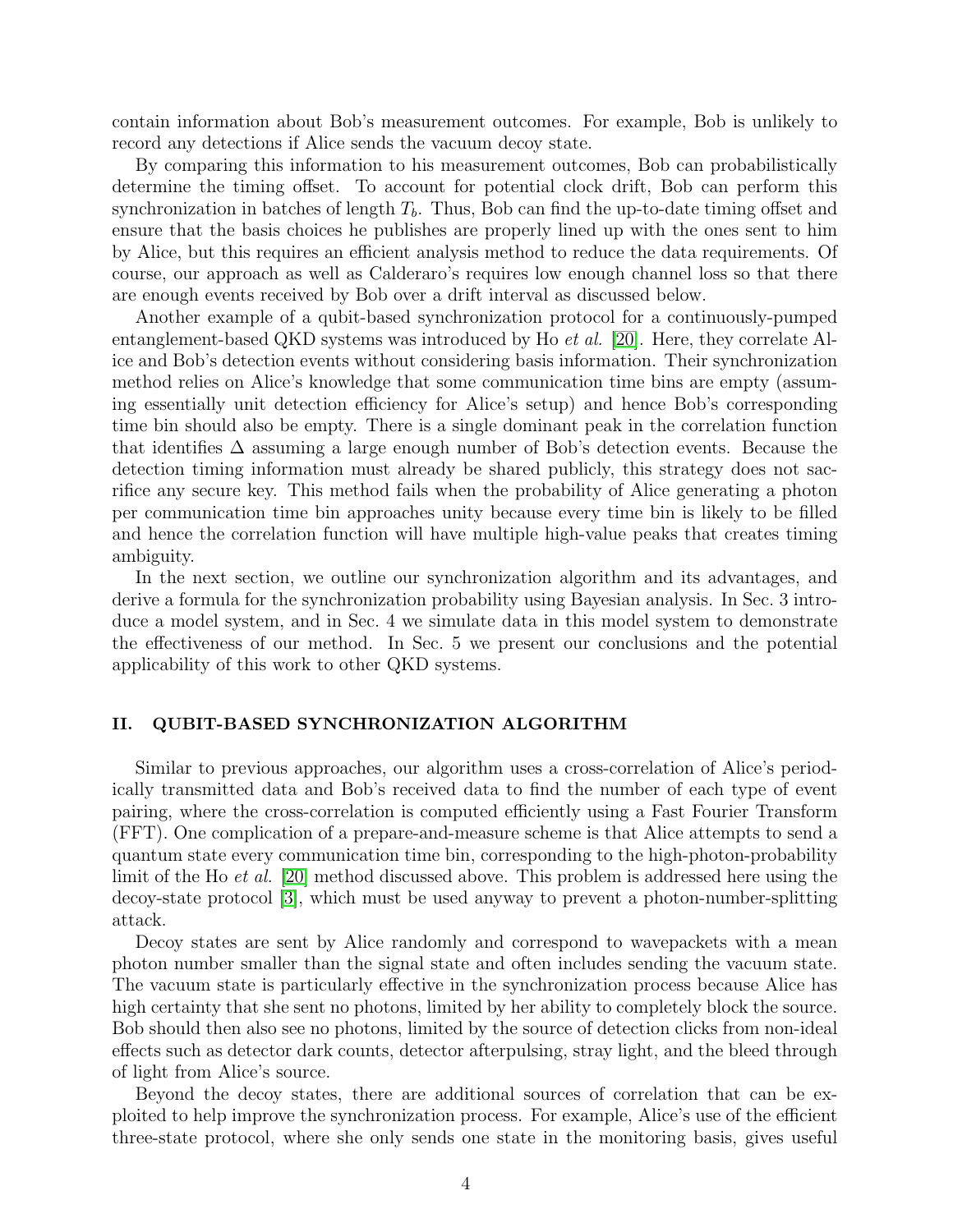contain information about Bob's measurement outcomes. For example, Bob is unlikely to record any detections if Alice sends the vacuum decoy state.

By comparing this information to his measurement outcomes, Bob can probabilistically determine the timing offset. To account for potential clock drift, Bob can perform this synchronization in batches of length  $T_b$ . Thus, Bob can find the up-to-date timing offset and ensure that the basis choices he publishes are properly lined up with the ones sent to him by Alice, but this requires an efficient analysis method to reduce the data requirements. Of course, our approach as well as Calderaro's requires low enough channel loss so that there are enough events received by Bob over a drift interval as discussed below.

Another example of a qubit-based synchronization protocol for a continuously-pumped entanglement-based QKD systems was introduced by Ho et al. [\[20\]](#page-13-2). Here, they correlate Alice and Bob's detection events without considering basis information. Their synchronization method relies on Alice's knowledge that some communication time bins are empty (assuming essentially unit detection efficiency for Alice's setup) and hence Bob's corresponding time bin should also be empty. There is a single dominant peak in the correlation function that identifies ∆ assuming a large enough number of Bob's detection events. Because the detection timing information must already be shared publicly, this strategy does not sacrifice any secure key. This method fails when the probability of Alice generating a photon per communication time bin approaches unity because every time bin is likely to be filled and hence the correlation function will have multiple high-value peaks that creates timing ambiguity.

In the next section, we outline our synchronization algorithm and its advantages, and derive a formula for the synchronization probability using Bayesian analysis. In Sec. 3 introduce a model system, and in Sec. 4 we simulate data in this model system to demonstrate the effectiveness of our method. In Sec. 5 we present our conclusions and the potential applicability of this work to other QKD systems.

# <span id="page-3-0"></span>II. QUBIT-BASED SYNCHRONIZATION ALGORITHM

Similar to previous approaches, our algorithm uses a cross-correlation of Alice's periodically transmitted data and Bob's received data to find the number of each type of event pairing, where the cross-correlation is computed efficiently using a Fast Fourier Transform (FFT). One complication of a prepare-and-measure scheme is that Alice attempts to send a quantum state every communication time bin, corresponding to the high-photon-probability limit of the Ho et al. [\[20\]](#page-13-2) method discussed above. This problem is addressed here using the decoy-state protocol [\[3\]](#page-12-2), which must be used anyway to prevent a photon-number-splitting attack.

Decoy states are sent by Alice randomly and correspond to wavepackets with a mean photon number smaller than the signal state and often includes sending the vacuum state. The vacuum state is particularly effective in the synchronization process because Alice has high certainty that she sent no photons, limited by her ability to completely block the source. Bob should then also see no photons, limited by the source of detection clicks from non-ideal effects such as detector dark counts, detector afterpulsing, stray light, and the bleed through of light from Alice's source.

Beyond the decoy states, there are additional sources of correlation that can be exploited to help improve the synchronization process. For example, Alice's use of the efficient three-state protocol, where she only sends one state in the monitoring basis, gives useful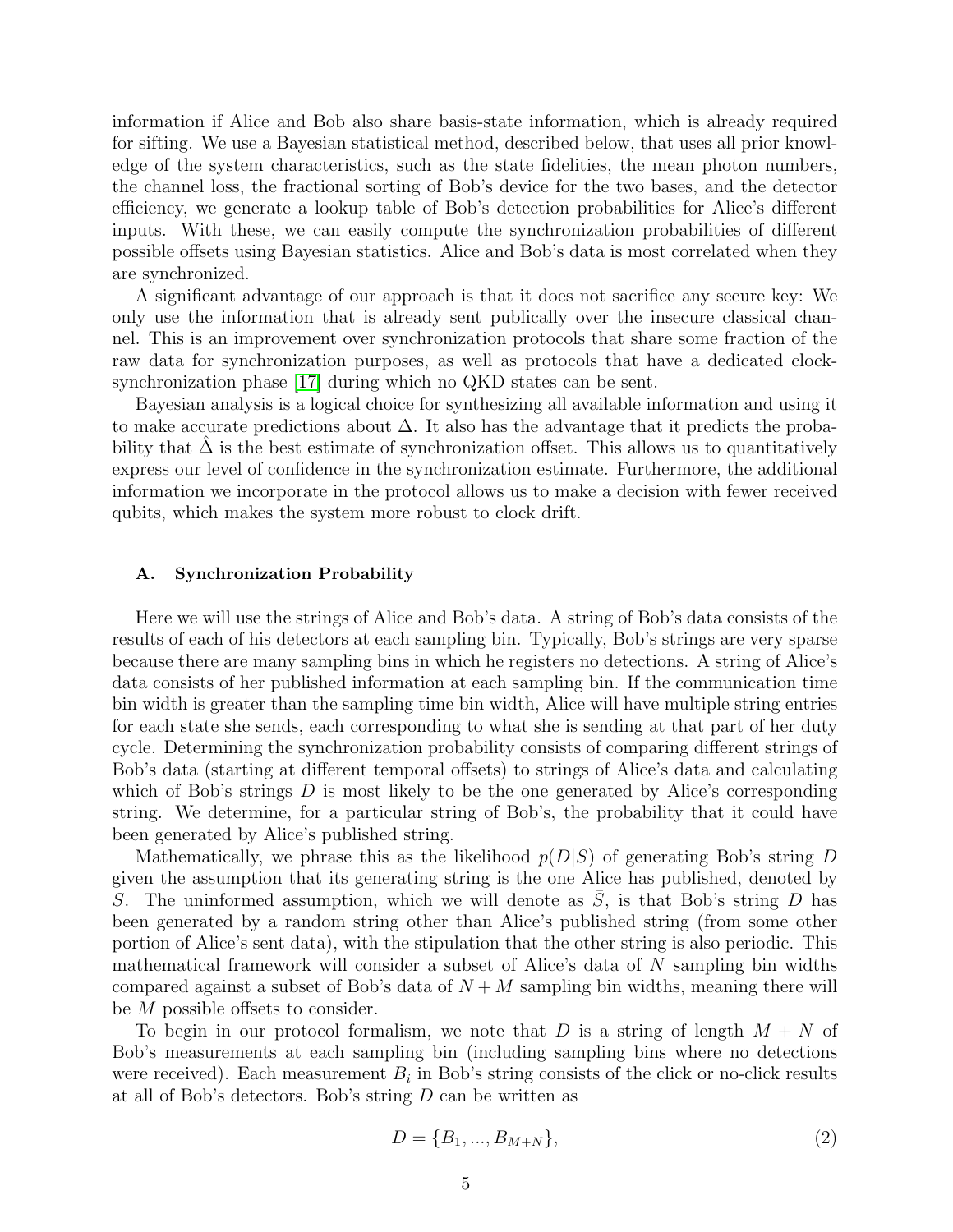information if Alice and Bob also share basis-state information, which is already required for sifting. We use a Bayesian statistical method, described below, that uses all prior knowledge of the system characteristics, such as the state fidelities, the mean photon numbers, the channel loss, the fractional sorting of Bob's device for the two bases, and the detector efficiency, we generate a lookup table of Bob's detection probabilities for Alice's different inputs. With these, we can easily compute the synchronization probabilities of different possible offsets using Bayesian statistics. Alice and Bob's data is most correlated when they are synchronized.

A significant advantage of our approach is that it does not sacrifice any secure key: We only use the information that is already sent publically over the insecure classical channel. This is an improvement over synchronization protocols that share some fraction of the raw data for synchronization purposes, as well as protocols that have a dedicated clocksynchronization phase [\[17\]](#page-13-1) during which no QKD states can be sent.

Bayesian analysis is a logical choice for synthesizing all available information and using it to make accurate predictions about ∆. It also has the advantage that it predicts the probability that  $\Delta$  is the best estimate of synchronization offset. This allows us to quantitatively express our level of confidence in the synchronization estimate. Furthermore, the additional information we incorporate in the protocol allows us to make a decision with fewer received qubits, which makes the system more robust to clock drift.

#### A. Synchronization Probability

Here we will use the strings of Alice and Bob's data. A string of Bob's data consists of the results of each of his detectors at each sampling bin. Typically, Bob's strings are very sparse because there are many sampling bins in which he registers no detections. A string of Alice's data consists of her published information at each sampling bin. If the communication time bin width is greater than the sampling time bin width, Alice will have multiple string entries for each state she sends, each corresponding to what she is sending at that part of her duty cycle. Determining the synchronization probability consists of comparing different strings of Bob's data (starting at different temporal offsets) to strings of Alice's data and calculating which of Bob's strings  $D$  is most likely to be the one generated by Alice's corresponding string. We determine, for a particular string of Bob's, the probability that it could have been generated by Alice's published string.

Mathematically, we phrase this as the likelihood  $p(D|S)$  of generating Bob's string D given the assumption that its generating string is the one Alice has published, denoted by S. The uninformed assumption, which we will denote as  $S$ , is that Bob's string  $D$  has been generated by a random string other than Alice's published string (from some other portion of Alice's sent data), with the stipulation that the other string is also periodic. This mathematical framework will consider a subset of Alice's data of N sampling bin widths compared against a subset of Bob's data of  $N + M$  sampling bin widths, meaning there will be M possible offsets to consider.

To begin in our protocol formalism, we note that D is a string of length  $M + N$  of Bob's measurements at each sampling bin (including sampling bins where no detections were received). Each measurement  $B_i$  in Bob's string consists of the click or no-click results at all of Bob's detectors. Bob's string D can be written as

$$
D = \{B_1, ..., B_{M+N}\},\tag{2}
$$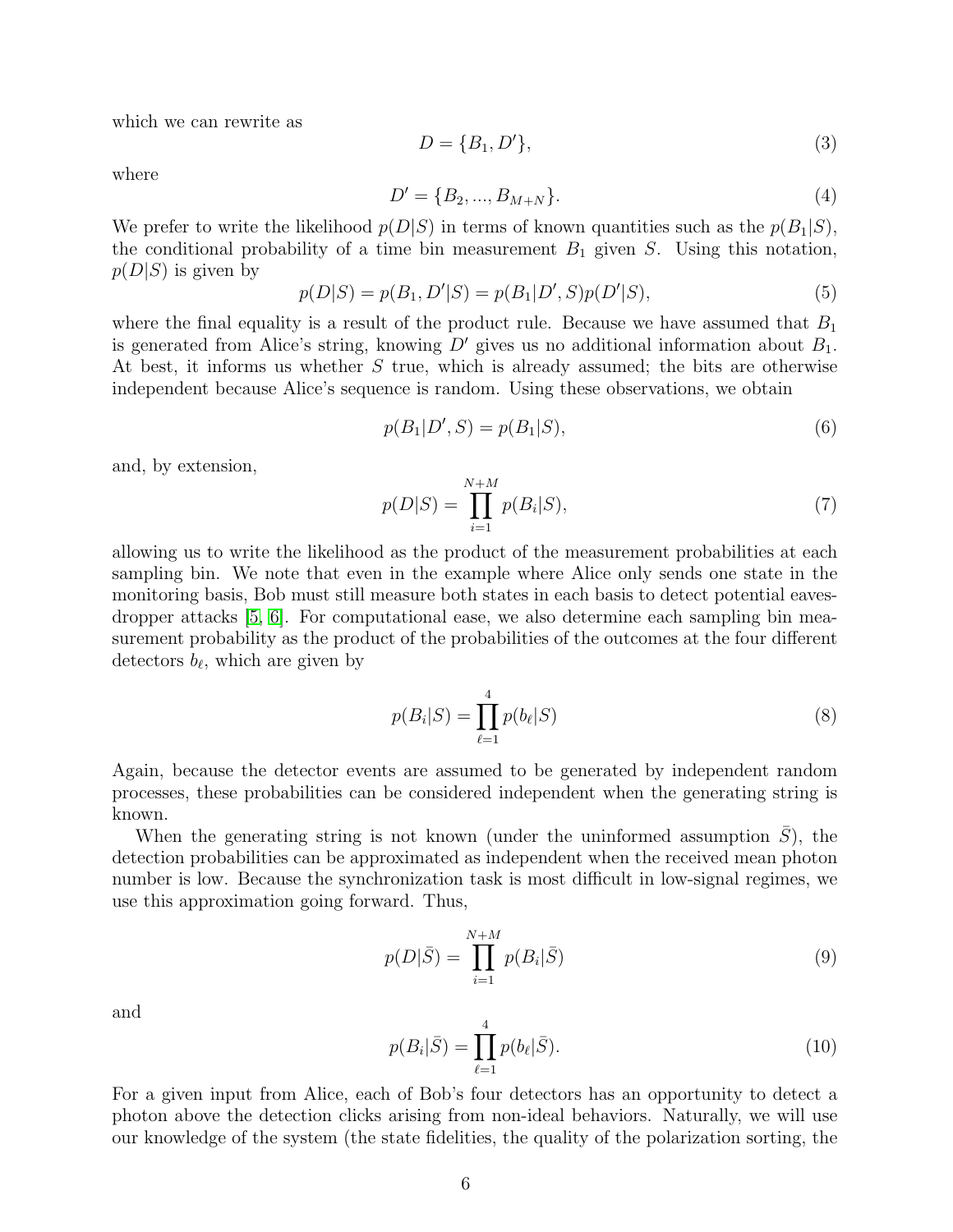which we can rewrite as

$$
D = \{B_1, D'\},\tag{3}
$$

where

$$
D' = \{B_2, ..., B_{M+N}\}.
$$
\n(4)

We prefer to write the likelihood  $p(D|S)$  in terms of known quantities such as the  $p(B_1|S)$ , the conditional probability of a time bin measurement  $B_1$  given S. Using this notation,  $p(D|S)$  is given by

$$
p(D|S) = p(B_1, D'|S) = p(B_1|D', S)p(D'|S),
$$
\n(5)

where the final equality is a result of the product rule. Because we have assumed that  $B_1$ is generated from Alice's string, knowing  $D'$  gives us no additional information about  $B_1$ . At best, it informs us whether S true, which is already assumed; the bits are otherwise independent because Alice's sequence is random. Using these observations, we obtain

$$
p(B_1|D',S) = p(B_1|S),
$$
\n(6)

and, by extension,

<span id="page-5-0"></span>
$$
p(D|S) = \prod_{i=1}^{N+M} p(B_i|S),
$$
\n(7)

allowing us to write the likelihood as the product of the measurement probabilities at each sampling bin. We note that even in the example where Alice only sends one state in the monitoring basis, Bob must still measure both states in each basis to detect potential eavesdropper attacks [\[5,](#page-12-4) [6\]](#page-12-5). For computational ease, we also determine each sampling bin measurement probability as the product of the probabilities of the outcomes at the four different detectors  $b_{\ell}$ , which are given by

$$
p(B_i|S) = \prod_{\ell=1}^{4} p(b_{\ell}|S)
$$
\n(8)

Again, because the detector events are assumed to be generated by independent random processes, these probabilities can be considered independent when the generating string is known.

When the generating string is not known (under the uninformed assumption  $S$ ), the detection probabilities can be approximated as independent when the received mean photon number is low. Because the synchronization task is most difficult in low-signal regimes, we use this approximation going forward. Thus,

<span id="page-5-1"></span>
$$
p(D|\bar{S}) = \prod_{i=1}^{N+M} p(B_i|\bar{S})
$$
\n(9)

and

$$
p(B_i|\bar{S}) = \prod_{\ell=1}^{4} p(b_{\ell}|\bar{S}).
$$
\n(10)

For a given input from Alice, each of Bob's four detectors has an opportunity to detect a photon above the detection clicks arising from non-ideal behaviors. Naturally, we will use our knowledge of the system (the state fidelities, the quality of the polarization sorting, the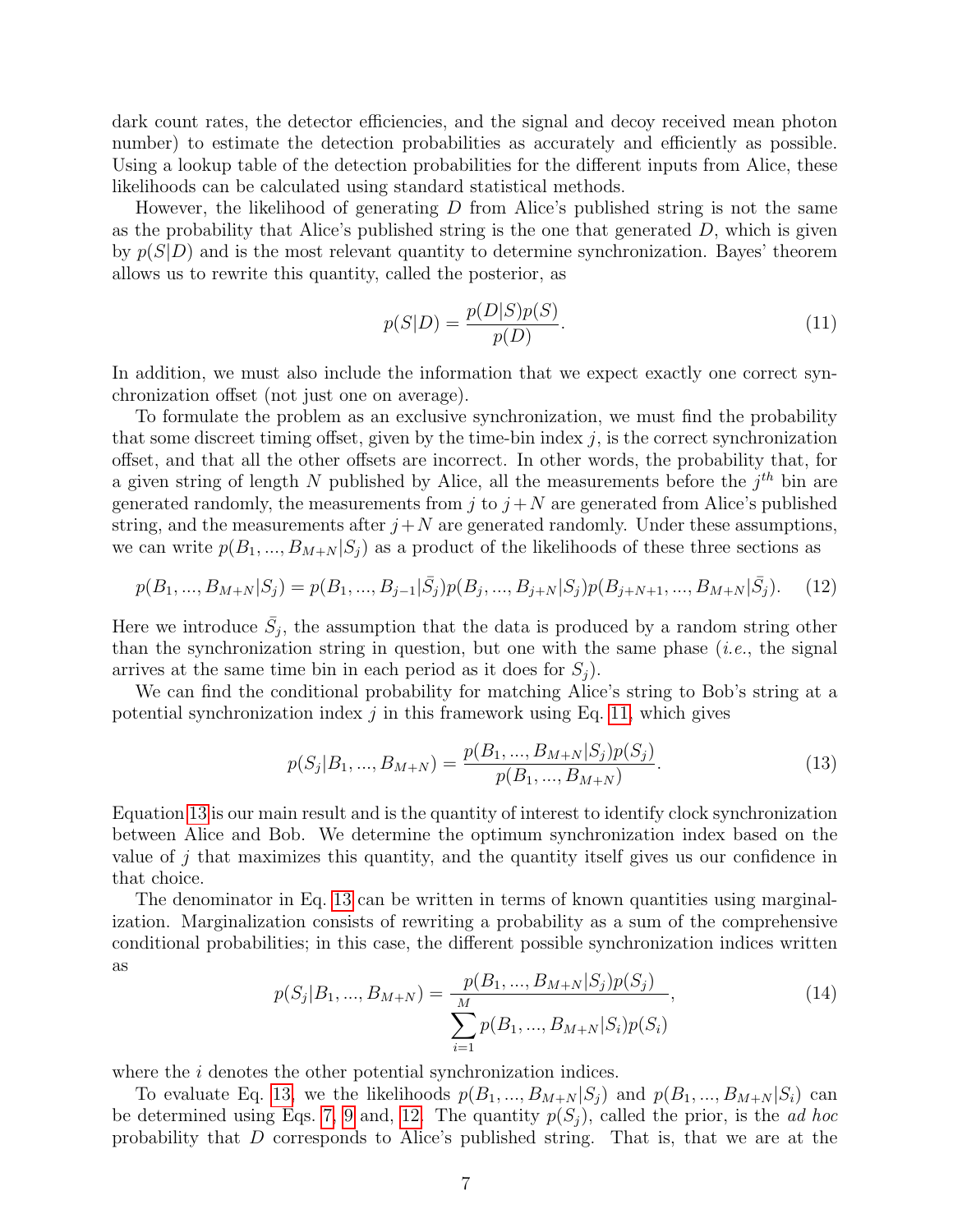dark count rates, the detector efficiencies, and the signal and decoy received mean photon number) to estimate the detection probabilities as accurately and efficiently as possible. Using a lookup table of the detection probabilities for the different inputs from Alice, these likelihoods can be calculated using standard statistical methods.

However, the likelihood of generating  $D$  from Alice's published string is not the same as the probability that Alice's published string is the one that generated  $D$ , which is given by  $p(S|D)$  and is the most relevant quantity to determine synchronization. Bayes' theorem allows us to rewrite this quantity, called the posterior, as

<span id="page-6-0"></span>
$$
p(S|D) = \frac{p(D|S)p(S)}{p(D)}.
$$
\n(11)

In addition, we must also include the information that we expect exactly one correct synchronization offset (not just one on average).

To formulate the problem as an exclusive synchronization, we must find the probability that some discreet timing offset, given by the time-bin index  $j$ , is the correct synchronization offset, and that all the other offsets are incorrect. In other words, the probability that, for a given string of length N published by Alice, all the measurements before the  $j<sup>th</sup>$  bin are generated randomly, the measurements from j to  $j + N$  are generated from Alice's published string, and the measurements after  $j+N$  are generated randomly. Under these assumptions, we can write  $p(B_1, ..., B_{M+N} | S_i)$  as a product of the likelihoods of these three sections as

<span id="page-6-2"></span>
$$
p(B_1, ..., B_{M+N}|S_j) = p(B_1, ..., B_{j-1}|\bar{S}_j)p(B_j, ..., B_{j+N}|S_j)p(B_{j+N+1}, ..., B_{M+N}|\bar{S}_j).
$$
(12)

Here we introduce  $\bar{S}_j$ , the assumption that the data is produced by a random string other than the synchronization string in question, but one with the same phase  $(i.e.,$  the signal arrives at the same time bin in each period as it does for  $S_i$ ).

We can find the conditional probability for matching Alice's string to Bob's string at a potential synchronization index  $j$  in this framework using Eq. [11,](#page-6-0) which gives

<span id="page-6-1"></span>
$$
p(S_j|B_1, ..., B_{M+N}) = \frac{p(B_1, ..., B_{M+N}|S_j)p(S_j)}{p(B_1, ..., B_{M+N})}.
$$
\n(13)

Equation [13](#page-6-1) is our main result and is the quantity of interest to identify clock synchronization between Alice and Bob. We determine the optimum synchronization index based on the value of j that maximizes this quantity, and the quantity itself gives us our confidence in that choice.

The denominator in Eq. [13](#page-6-1) can be written in terms of known quantities using marginalization. Marginalization consists of rewriting a probability as a sum of the comprehensive conditional probabilities; in this case, the different possible synchronization indices written as

$$
p(S_j|B_1, ..., B_{M+N}) = \frac{p(B_1, ..., B_{M+N}|S_j)p(S_j)}{\sum_{i=1}^{M} p(B_1, ..., B_{M+N}|S_i)p(S_i)},
$$
\n(14)

where the *i* denotes the other potential synchronization indices.

To evaluate Eq. [13,](#page-6-1) we the likelihoods  $p(B_1, ..., B_{M+N}|S_i)$  and  $p(B_1, ..., B_{M+N}|S_i)$  can be determined using Eqs. [7,](#page-5-0) [9](#page-5-1) and, [12.](#page-6-2) The quantity  $p(S_i)$ , called the prior, is the *ad hoc* probability that D corresponds to Alice's published string. That is, that we are at the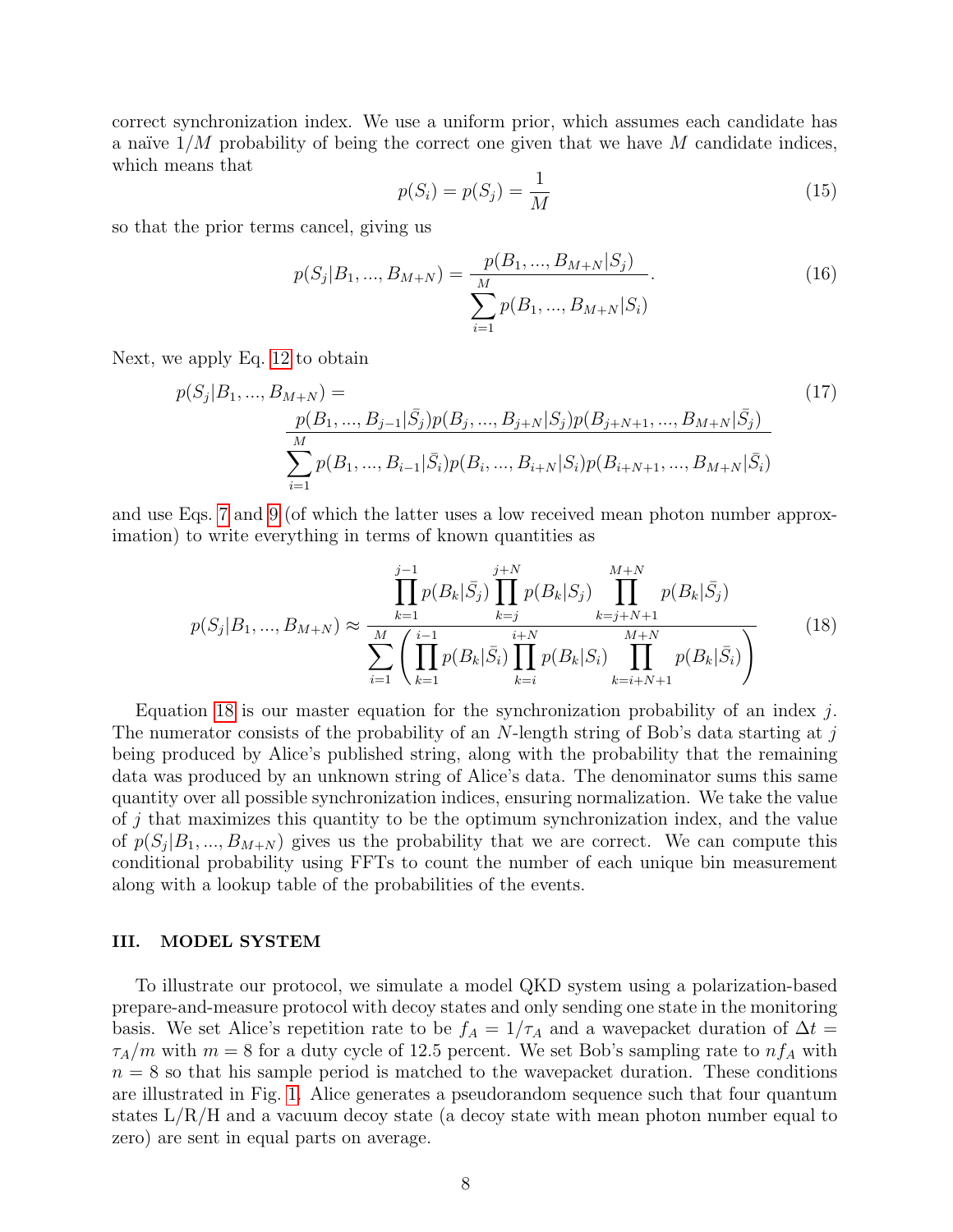correct synchronization index. We use a uniform prior, which assumes each candidate has a naïve  $1/M$  probability of being the correct one given that we have M candidate indices, which means that

$$
p(S_i) = p(S_j) = \frac{1}{M}
$$
\n(15)

so that the prior terms cancel, giving us

$$
p(S_j|B_1, ..., B_{M+N}) = \frac{p(B_1, ..., B_{M+N}|S_j)}{\sum_{i=1}^{M} p(B_1, ..., B_{M+N}|S_i)}.
$$
\n(16)

Next, we apply Eq. [12](#page-6-2) to obtain

$$
p(S_j|B_1, ..., B_{M+N}) = \frac{p(B_1, ..., B_{j-1}|\bar{S}_j)p(B_j, ..., B_{j+N}|S_j)p(B_{j+N+1}, ..., B_{M+N}|\bar{S}_j)}{\sum_{i=1}^{M} p(B_1, ..., B_{i-1}|\bar{S}_i)p(B_i, ..., B_{i+N}|S_i)p(B_{i+N+1}, ..., B_{M+N}|\bar{S}_i)}
$$
\n(17)

and use Eqs. [7](#page-5-0) and [9](#page-5-1) (of which the latter uses a low received mean photon number approximation) to write everything in terms of known quantities as

<span id="page-7-0"></span>
$$
p(S_j|B_1, ..., B_{M+N}) \approx \frac{\prod_{k=1}^{j-1} p(B_k|\bar{S}_j) \prod_{k=j}^{j+N} p(B_k|S_j)}{\sum_{i=1}^{M} \left(\prod_{k=1}^{i-1} p(B_k|\bar{S}_i) \prod_{k=i}^{i+N} p(B_k|S_i) \prod_{k=i+N+1}^{M+N} p(B_k|\bar{S}_i)\right)}
$$
(18)

Equation [18](#page-7-0) is our master equation for the synchronization probability of an index  $j$ . The numerator consists of the probability of an  $N$ -length string of Bob's data starting at j being produced by Alice's published string, along with the probability that the remaining data was produced by an unknown string of Alice's data. The denominator sums this same quantity over all possible synchronization indices, ensuring normalization. We take the value of  $j$  that maximizes this quantity to be the optimum synchronization index, and the value of  $p(S_j|B_1, ..., B_{M+N})$  gives us the probability that we are correct. We can compute this conditional probability using FFTs to count the number of each unique bin measurement along with a lookup table of the probabilities of the events.

## III. MODEL SYSTEM

To illustrate our protocol, we simulate a model QKD system using a polarization-based prepare-and-measure protocol with decoy states and only sending one state in the monitoring basis. We set Alice's repetition rate to be  $f_A = 1/\tau_A$  and a wavepacket duration of  $\Delta t =$  $\tau_A/m$  with  $m = 8$  for a duty cycle of 12.5 percent. We set Bob's sampling rate to  $nf_A$  with  $n = 8$  so that his sample period is matched to the wavepacket duration. These conditions are illustrated in Fig. [1.](#page-8-0) Alice generates a pseudorandom sequence such that four quantum states  $L/R/H$  and a vacuum decoy state (a decoy state with mean photon number equal to zero) are sent in equal parts on average.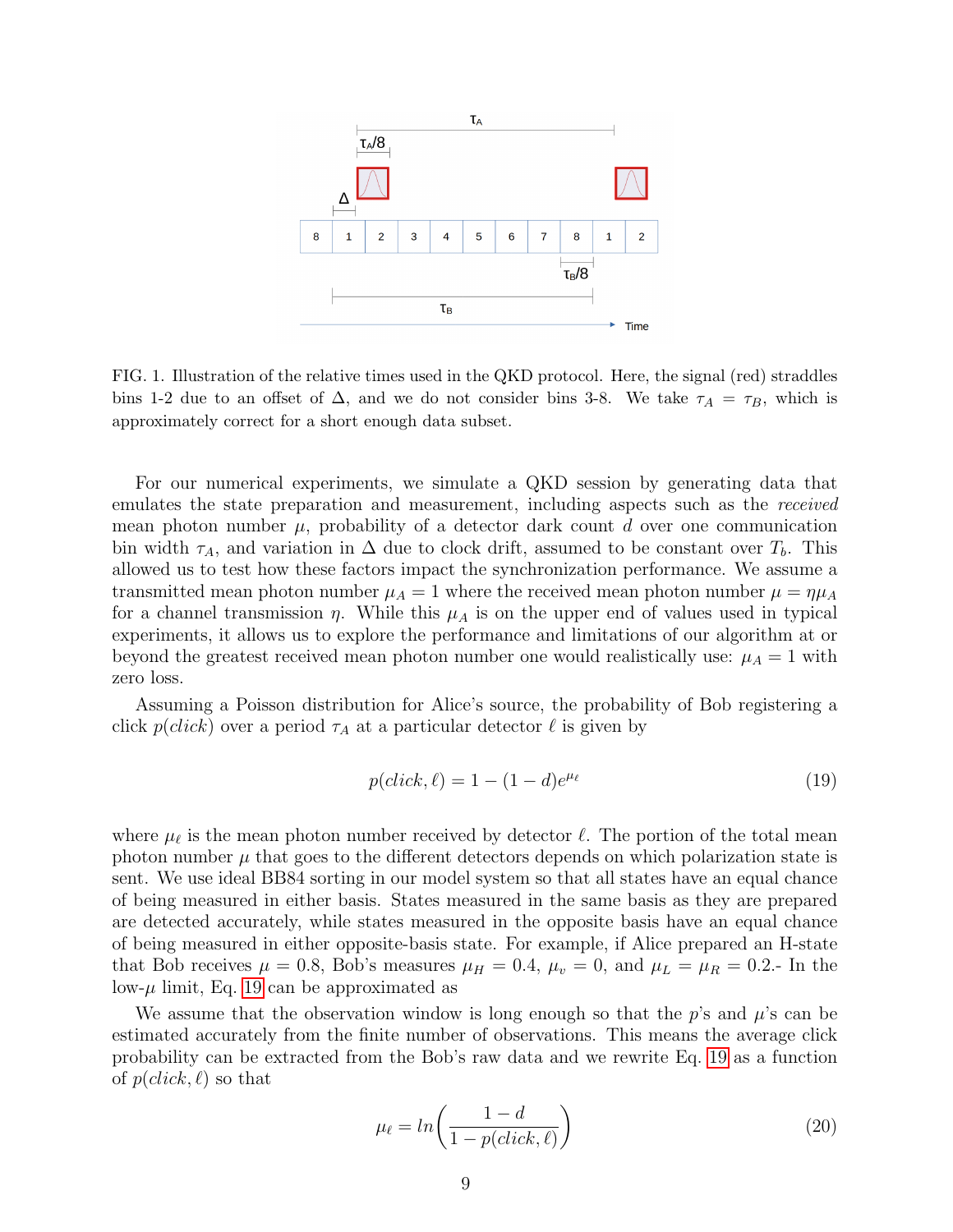

<span id="page-8-0"></span>FIG. 1. Illustration of the relative times used in the QKD protocol. Here, the signal (red) straddles bins 1-2 due to an offset of  $\Delta$ , and we do not consider bins 3-8. We take  $\tau_A = \tau_B$ , which is approximately correct for a short enough data subset.

For our numerical experiments, we simulate a QKD session by generating data that emulates the state preparation and measurement, including aspects such as the received mean photon number  $\mu$ , probability of a detector dark count d over one communication bin width  $\tau_A$ , and variation in  $\Delta$  due to clock drift, assumed to be constant over  $T_b$ . This allowed us to test how these factors impact the synchronization performance. We assume a transmitted mean photon number  $\mu_A = 1$  where the received mean photon number  $\mu = \eta \mu_A$ for a channel transmission  $\eta$ . While this  $\mu_A$  is on the upper end of values used in typical experiments, it allows us to explore the performance and limitations of our algorithm at or beyond the greatest received mean photon number one would realistically use:  $\mu_A = 1$  with zero loss.

Assuming a Poisson distribution for Alice's source, the probability of Bob registering a click  $p(\text{click})$  over a period  $\tau_A$  at a particular detector  $\ell$  is given by

<span id="page-8-1"></span>
$$
p(click, \ell) = 1 - (1 - d)e^{\mu_{\ell}} \tag{19}
$$

where  $\mu_{\ell}$  is the mean photon number received by detector  $\ell$ . The portion of the total mean photon number  $\mu$  that goes to the different detectors depends on which polarization state is sent. We use ideal BB84 sorting in our model system so that all states have an equal chance of being measured in either basis. States measured in the same basis as they are prepared are detected accurately, while states measured in the opposite basis have an equal chance of being measured in either opposite-basis state. For example, if Alice prepared an H-state that Bob receives  $\mu = 0.8$ , Bob's measures  $\mu_H = 0.4$ ,  $\mu_v = 0$ , and  $\mu_L = \mu_R = 0.2$ . In the low- $\mu$  limit, Eq. [19](#page-8-1) can be approximated as

We assume that the observation window is long enough so that the  $p$ 's and  $\mu$ 's can be estimated accurately from the finite number of observations. This means the average click probability can be extracted from the Bob's raw data and we rewrite Eq. [19](#page-8-1) as a function of  $p(\text{click}, \ell)$  so that

$$
\mu_{\ell} = \ln\left(\frac{1-d}{1-p(\text{click}, \ell)}\right) \tag{20}
$$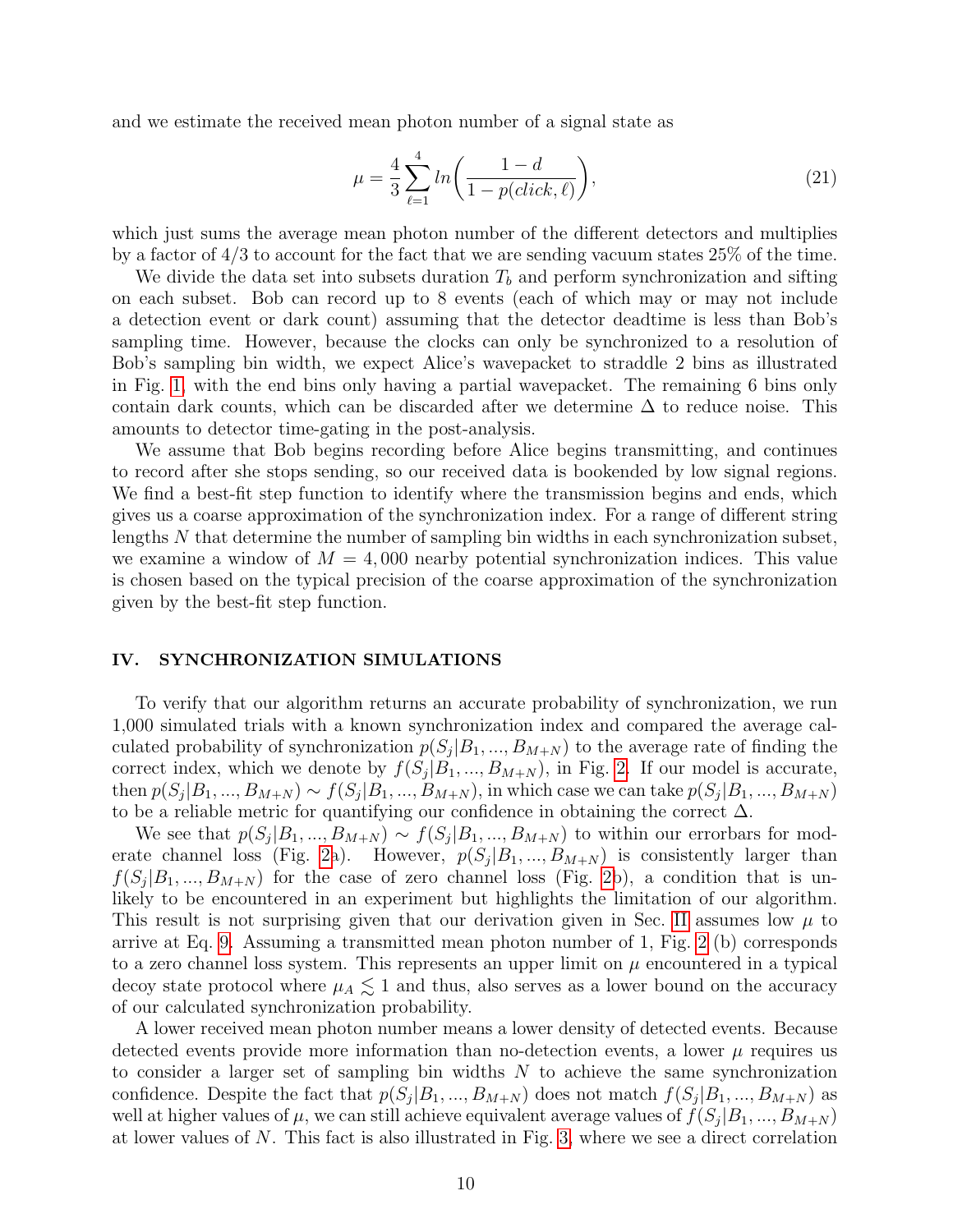and we estimate the received mean photon number of a signal state as

$$
\mu = \frac{4}{3} \sum_{\ell=1}^{4} \ln \left( \frac{1 - d}{1 - p(click, \ell)} \right),\tag{21}
$$

which just sums the average mean photon number of the different detectors and multiplies by a factor of 4/3 to account for the fact that we are sending vacuum states 25% of the time.

We divide the data set into subsets duration  $T<sub>b</sub>$  and perform synchronization and sifting on each subset. Bob can record up to 8 events (each of which may or may not include a detection event or dark count) assuming that the detector deadtime is less than Bob's sampling time. However, because the clocks can only be synchronized to a resolution of Bob's sampling bin width, we expect Alice's wavepacket to straddle 2 bins as illustrated in Fig. [1,](#page-8-0) with the end bins only having a partial wavepacket. The remaining 6 bins only contain dark counts, which can be discarded after we determine  $\Delta$  to reduce noise. This amounts to detector time-gating in the post-analysis.

We assume that Bob begins recording before Alice begins transmitting, and continues to record after she stops sending, so our received data is bookended by low signal regions. We find a best-fit step function to identify where the transmission begins and ends, which gives us a coarse approximation of the synchronization index. For a range of different string lengths N that determine the number of sampling bin widths in each synchronization subset, we examine a window of  $M = 4,000$  nearby potential synchronization indices. This value is chosen based on the typical precision of the coarse approximation of the synchronization given by the best-fit step function.

## IV. SYNCHRONIZATION SIMULATIONS

To verify that our algorithm returns an accurate probability of synchronization, we run 1,000 simulated trials with a known synchronization index and compared the average calculated probability of synchronization  $p(S_j|B_1, ..., B_{M+N})$  to the average rate of finding the correct index, which we denote by  $f(S_j|B_1,...,B_{M+N})$ , in Fig. [2.](#page-10-0) If our model is accurate, then  $p(S_j|B_1, ..., B_{M+N}) \sim f(S_j|B_1, ..., B_{M+N})$ , in which case we can take  $p(S_j|B_1, ..., B_{M+N})$ to be a reliable metric for quantifying our confidence in obtaining the correct  $\Delta$ .

We see that  $p(S_j|B_1,...,B_{M+N}) \sim f(S_j|B_1,...,B_{M+N})$  to within our errorbars for mod-erate channel loss (Fig. [2a](#page-10-0)). However,  $p(S_j|B_1,...,B_{M+N})$  is consistently larger than  $f(S_j|B_1,...,B_{M+N})$  for the case of zero channel loss (Fig. [2b](#page-10-0)), a condition that is unlikely to be encountered in an experiment but highlights the limitation of our algorithm. This result is not surprising given that our derivation given in Sec. [II](#page-3-0) assumes low  $\mu$  to arrive at Eq. [9.](#page-5-1) Assuming a transmitted mean photon number of 1, Fig. [2](#page-10-0) (b) corresponds to a zero channel loss system. This represents an upper limit on  $\mu$  encountered in a typical decoy state protocol where  $\mu_A \leq 1$  and thus, also serves as a lower bound on the accuracy of our calculated synchronization probability.

A lower received mean photon number means a lower density of detected events. Because detected events provide more information than no-detection events, a lower  $\mu$  requires us to consider a larger set of sampling bin widths  $N$  to achieve the same synchronization confidence. Despite the fact that  $p(S_j|B_1, ..., B_{M+N})$  does not match  $f(S_j|B_1, ..., B_{M+N})$  as well at higher values of  $\mu$ , we can still achieve equivalent average values of  $f(S_j|B_1, ..., B_{M+N})$ at lower values of  $N$ . This fact is also illustrated in Fig. [3,](#page-11-0) where we see a direct correlation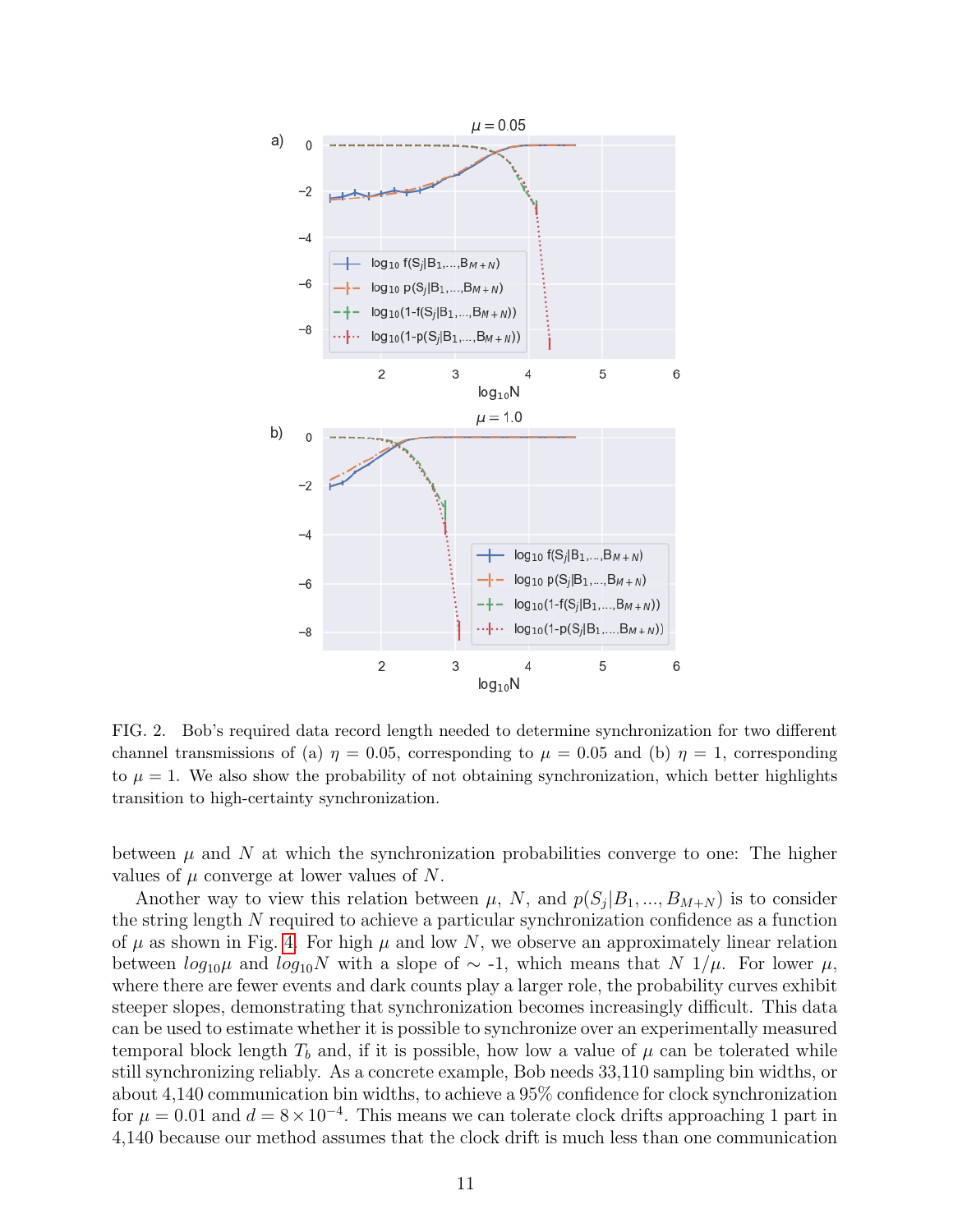

<span id="page-10-0"></span>FIG. 2. Bob's required data record length needed to determine synchronization for two different channel transmissions of (a)  $\eta = 0.05$ , corresponding to  $\mu = 0.05$  and (b)  $\eta = 1$ , corresponding to  $\mu = 1$ . We also show the probability of not obtaining synchronization, which better highlights transition to high-certainty synchronization.

between  $\mu$  and N at which the synchronization probabilities converge to one: The higher values of  $\mu$  converge at lower values of N.

Another way to view this relation between  $\mu$ , N, and  $p(S_j|B_1,...,B_{M+N})$  is to consider the string length N required to achieve a particular synchronization confidence as a function of  $\mu$  as shown in Fig. [4.](#page-11-1) For high  $\mu$  and low N, we observe an approximately linear relation between  $log_{10}\mu$  and  $log_{10}N$  with a slope of  $\sim$  -1, which means that N 1/ $\mu$ . For lower  $\mu$ , where there are fewer events and dark counts play a larger role, the probability curves exhibit steeper slopes, demonstrating that synchronization becomes increasingly difficult. This data can be used to estimate whether it is possible to synchronize over an experimentally measured temporal block length  $T_b$  and, if it is possible, how low a value of  $\mu$  can be tolerated while still synchronizing reliably. As a concrete example, Bob needs 33,110 sampling bin widths, or about 4,140 communication bin widths, to achieve a 95% confidence for clock synchronization for  $\mu = 0.01$  and  $d = 8 \times 10^{-4}$ . This means we can tolerate clock drifts approaching 1 part in 4,140 because our method assumes that the clock drift is much less than one communication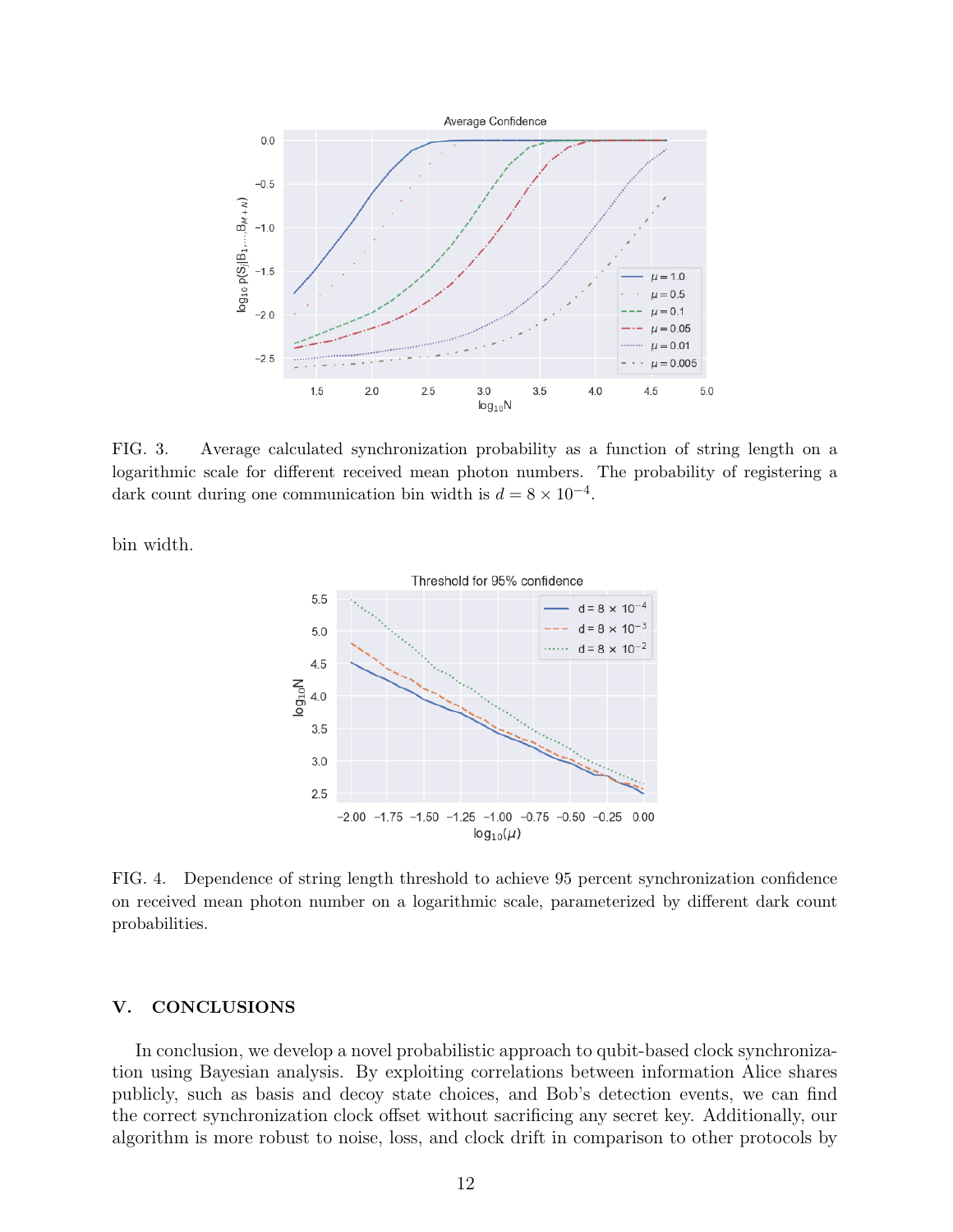

<span id="page-11-0"></span>FIG. 3. Average calculated synchronization probability as a function of string length on a logarithmic scale for different received mean photon numbers. The probability of registering a dark count during one communication bin width is  $d = 8 \times 10^{-4}$ .

bin width.



<span id="page-11-1"></span>FIG. 4. Dependence of string length threshold to achieve 95 percent synchronization confidence on received mean photon number on a logarithmic scale, parameterized by different dark count probabilities.

## V. CONCLUSIONS

In conclusion, we develop a novel probabilistic approach to qubit-based clock synchronization using Bayesian analysis. By exploiting correlations between information Alice shares publicly, such as basis and decoy state choices, and Bob's detection events, we can find the correct synchronization clock offset without sacrificing any secret key. Additionally, our algorithm is more robust to noise, loss, and clock drift in comparison to other protocols by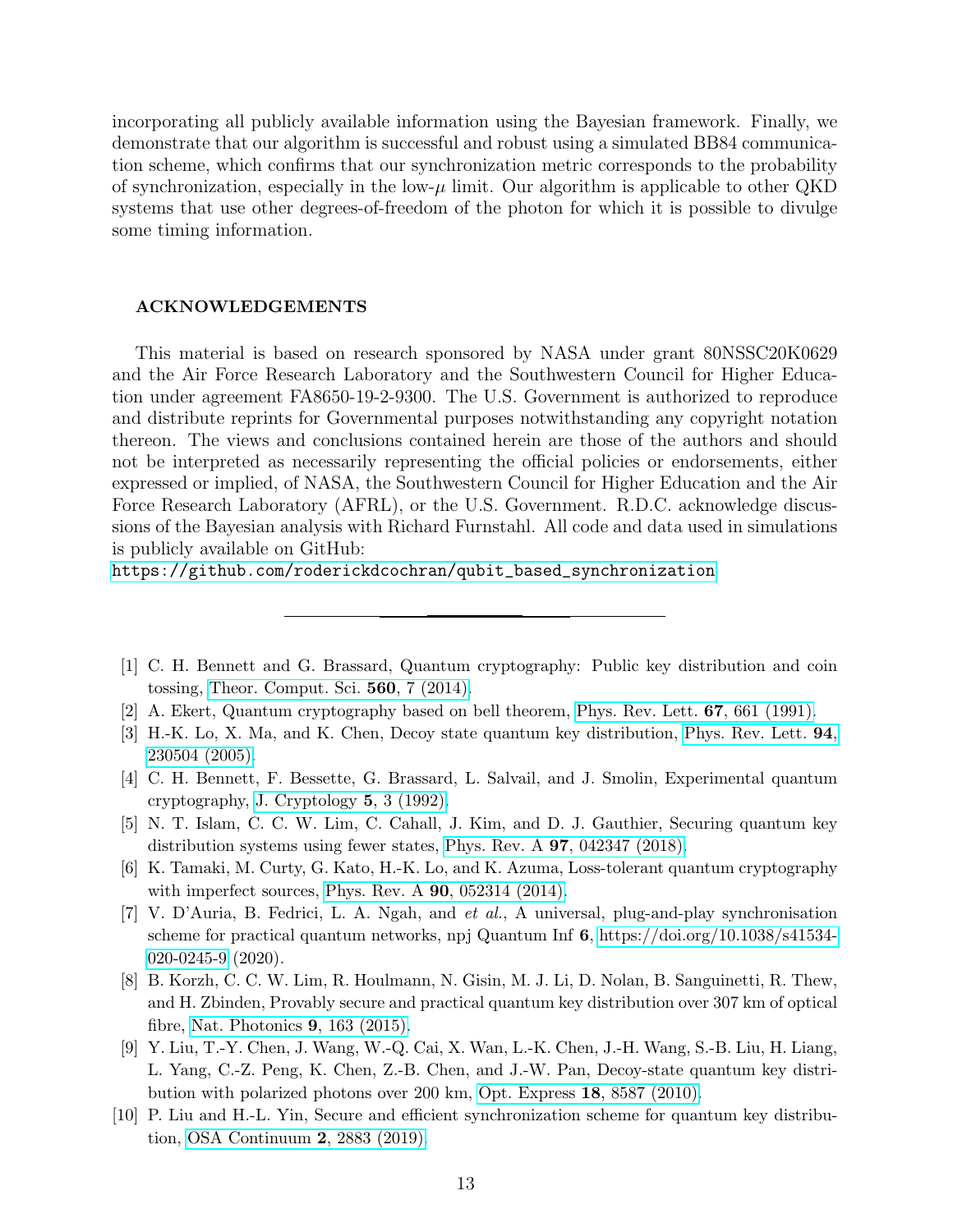incorporating all publicly available information using the Bayesian framework. Finally, we demonstrate that our algorithm is successful and robust using a simulated BB84 communication scheme, which confirms that our synchronization metric corresponds to the probability of synchronization, especially in the low- $\mu$  limit. Our algorithm is applicable to other QKD systems that use other degrees-of-freedom of the photon for which it is possible to divulge some timing information.

#### ACKNOWLEDGEMENTS

This material is based on research sponsored by NASA under grant 80NSSC20K0629 and the Air Force Research Laboratory and the Southwestern Council for Higher Education under agreement FA8650-19-2-9300. The U.S. Government is authorized to reproduce and distribute reprints for Governmental purposes notwithstanding any copyright notation thereon. The views and conclusions contained herein are those of the authors and should not be interpreted as necessarily representing the official policies or endorsements, either expressed or implied, of NASA, the Southwestern Council for Higher Education and the Air Force Research Laboratory (AFRL), or the U.S. Government. R.D.C. acknowledge discussions of the Bayesian analysis with Richard Furnstahl. All code and data used in simulations is publicly available on GitHub:

[https://github.com/roderickdcochran/qubit\\_based\\_synchronization](https://github.com/roderickdcochran/qubit_based_synchronization)

- <span id="page-12-0"></span>[1] C. H. Bennett and G. Brassard, Quantum cryptography: Public key distribution and coin tossing, [Theor. Comput. Sci.](https://doi.org/10.1016/j.tcs.2014.05.025) 560, 7 (2014).
- <span id="page-12-1"></span>[2] A. Ekert, Quantum cryptography based on bell theorem, [Phys. Rev. Lett.](https://doi.org/10.1103/PhysRevLett.67.661) 67, 661 (1991).
- <span id="page-12-2"></span>[3] H.-K. Lo, X. Ma, and K. Chen, Decoy state quantum key distribution, [Phys. Rev. Lett.](https://doi.org/10.1103/PhysRevLett.94.230504) 94, [230504 \(2005\).](https://doi.org/10.1103/PhysRevLett.94.230504)
- <span id="page-12-3"></span>[4] C. H. Bennett, F. Bessette, G. Brassard, L. Salvail, and J. Smolin, Experimental quantum cryptography, [J. Cryptology](https://doi.org/https://doi.org/10.1007/BF00191318) 5, 3 (1992).
- <span id="page-12-4"></span>[5] N. T. Islam, C. C. W. Lim, C. Cahall, J. Kim, and D. J. Gauthier, Securing quantum key distribution systems using fewer states, Phys. Rev. A 97[, 042347 \(2018\).](https://doi.org/10.1103/PhysRevA.97.042347)
- <span id="page-12-5"></span>[6] K. Tamaki, M. Curty, G. Kato, H.-K. Lo, and K. Azuma, Loss-tolerant quantum cryptography with imperfect sources, Phys. Rev. A 90[, 052314 \(2014\).](https://doi.org/10.1103/PhysRevA.90.052314)
- <span id="page-12-6"></span>[7] V. D'Auria, B. Fedrici, L. A. Ngah, and et al., A universal, plug-and-play synchronisation scheme for practical quantum networks, npj Quantum Inf 6, [https://doi.org/10.1038/s41534-](https://doi.org/https://doi.org/10.1038/s41534-020-0245-9) [020-0245-9](https://doi.org/https://doi.org/10.1038/s41534-020-0245-9) (2020).
- [8] B. Korzh, C. C. W. Lim, R. Houlmann, N. Gisin, M. J. Li, D. Nolan, B. Sanguinetti, R. Thew, and H. Zbinden, Provably secure and practical quantum key distribution over 307 km of optical fibre, [Nat. Photonics](https://doi.org/10.1038/NPHOTON.2014.327) 9, 163 (2015).
- [9] Y. Liu, T.-Y. Chen, J. Wang, W.-Q. Cai, X. Wan, L.-K. Chen, J.-H. Wang, S.-B. Liu, H. Liang, L. Yang, C.-Z. Peng, K. Chen, Z.-B. Chen, and J.-W. Pan, Decoy-state quantum key distribution with polarized photons over 200 km, Opt. Express 18[, 8587 \(2010\).](https://doi.org/10.1364/OE.18.008587)
- [10] P. Liu and H.-L. Yin, Secure and efficient synchronization scheme for quantum key distribution, [OSA Continuum](https://doi.org/10.1364/OSAC.2.002883) 2, 2883 (2019).